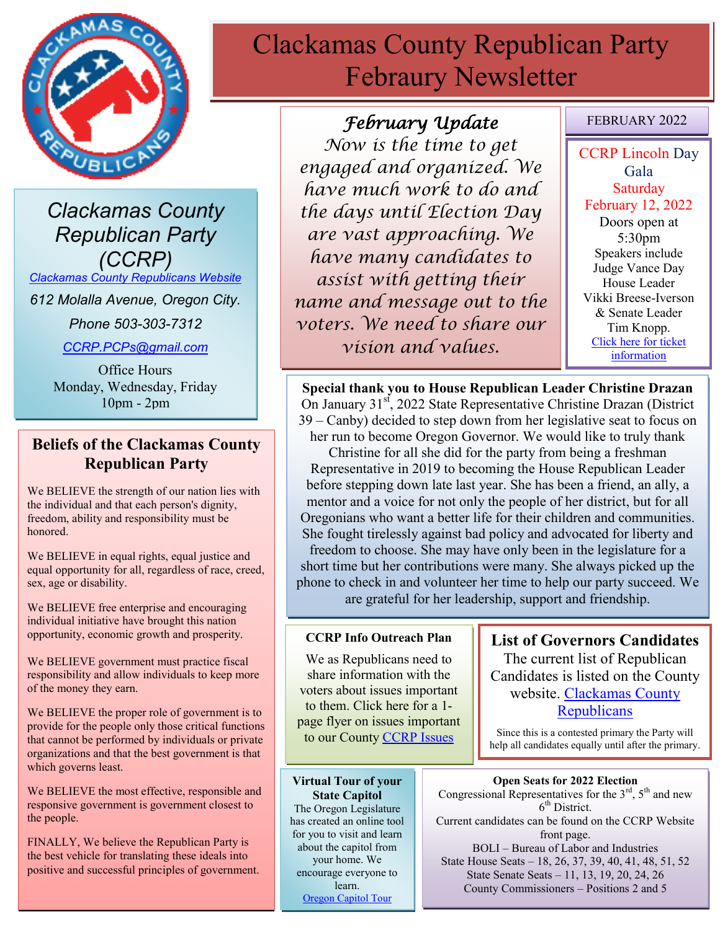

*Clackamas County Republican Party (CCRP)*

*[Clackamas County Republicans Website](https://www.clackamascountyrepublicans.org/)*

*612 Molalla Avenue, Oregon City.* 

*Phone 503-303-7312*

*[CCRP.PCPs@gmail.com](mailto:CCRP.PCPs@gmail.com)*

Office Hours Monday, Wednesday, Friday 10pm - 2pm

### **Beliefs of the Clackamas County Republican Party**

We BELIEVE the strength of our nation lies with the individual and that each person's dignity, freedom, ability and responsibility must be honored.

We BELIEVE in equal rights, equal justice and equal opportunity for all, regardless of race, creed, sex, age or disability.

We BELIEVE free enterprise and encouraging individual initiative have brought this nation opportunity, economic growth and prosperity.

We BELIEVE government must practice fiscal responsibility and allow individuals to keep more of the money they earn.

We BELIEVE the proper role of government is to provide for the people only those critical functions that cannot be performed by individuals or private organizations and that the best government is that which governs least.

We BELIEVE the most effective, responsible and responsive government is government closest to the people.

FINALLY, We believe the Republican Party is the best vehicle for translating these ideals into positive and successful principles of government.

# Clackamas County Republican Party Febraury Newsletter

# *February Update*

*Now is the time to get engaged and organized. We have much work to do and the days until Election Day are vast approaching. We have many candidates to assist with getting their name and message out to the voters. We need to share our vision and values.* 

### FEBRUARY 2022

CCRP Lincoln Day Gala **Saturday** February 12, 2022 Doors open at 5:30pm Speakers include Judge Vance Day House Leader Vikki Breese-Iverson & Senate Leader Tim Knopp. [Click here for ticket](https://www.clackamascountyrepublicans.org/wp-content/uploads/2022/01/INVITE-FLYER-HAPPY-BIRTHDAY-ABE-LINCOLN-1.pdf)  [information](https://www.clackamascountyrepublicans.org/wp-content/uploads/2022/01/INVITE-FLYER-HAPPY-BIRTHDAY-ABE-LINCOLN-1.pdf)

**Special thank you to House Republican Leader Christine Drazan** On January 31<sup>st</sup>, 2022 State Representative Christine Drazan (District 39 – Canby) decided to step down from her legislative seat to focus on her run to become Oregon Governor. We would like to truly thank

Christine for all she did for the party from being a freshman Representative in 2019 to becoming the House Republican Leader before stepping down late last year. She has been a friend, an ally, a mentor and a voice for not only the people of her district, but for all Oregonians who want a better life for their children and communities. She fought tirelessly against bad policy and advocated for liberty and freedom to choose. She may have only been in the legislature for a short time but her contributions were many. She always picked up the phone to check in and volunteer her time to help our party succeed. We are grateful for her leadership, support and friendship.

### **CCRP Info Outreach Plan**

We as Republicans need to share information with the voters about issues important to them. Click here for a 1 page flyer on issues important to our County [CCRP Issues](https://www.clackamascountyrepublicans.org/wp-content/uploads/2021/09/CCRP-Outreach.pdf)

**List of Governors Candidates** The current list of Republican Candidates is listed on the County website. [Clackamas County](https://www.clackamascountyrepublicans.org/)  **[Republicans](https://www.clackamascountyrepublicans.org/)** 

Since this is a contested primary the Party will help all candidates equally until after the primary.

**Virtual Tour of your State Capitol** The Oregon Legislature has created an online tool for you to visit and learn about the capitol from your home. We encourage everyone to learn. [Oregon Capitol Tour](https://www.oregonlegislature.gov/capitolhistorygateway/Pages/default.aspx)

**Open Seats for 2022 Election** Congressional Representatives for the  $3<sup>rd</sup>$ ,  $5<sup>th</sup>$  and new 6<sup>th</sup> District. Current candidates can be found on the CCRP Website front page. BOLI – Bureau of Labor and Industries State House Seats – 18, 26, 37, 39, 40, 41, 48, 51, 52 State Senate Seats – 11, 13, 19, 20, 24, 26

County Commissioners – Positions 2 and 5